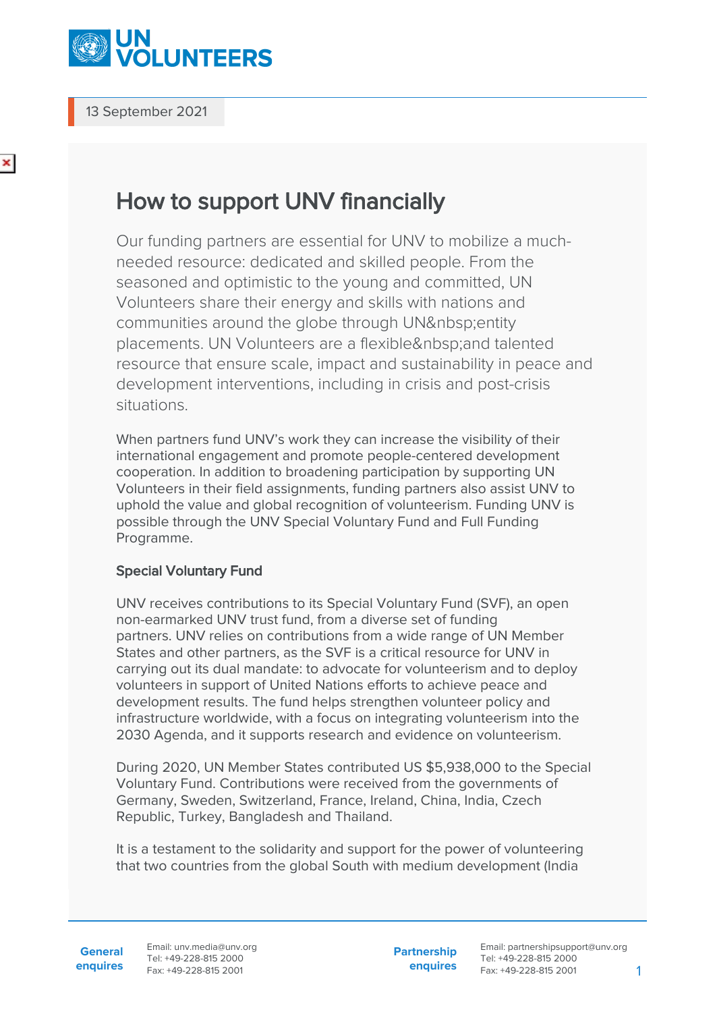

13 September 2021

## ×

## How to support UNV financially

Our funding partners are essential for UNV to mobilize a muchneeded resource: dedicated and skilled people. From the seasoned and optimistic to the young and committed, UN Volunteers share their energy and skills with nations and communities around the globe through UN entity placements. UN Volunteers are a flexible and talented resource that ensure scale, impact and sustainability in peace and development interventions, including in crisis and post-crisis situations.

When partners fund UNV's work they can increase the visibility of their international engagement and promote people-centered development cooperation. In addition to broadening participation by supporting UN Volunteers in their field assignments, funding partners also assist UNV to uphold the value and global recognition of volunteerism. Funding UNV is possible through the UNV Special Voluntary Fund and Full Funding Programme.

## Special Voluntary Fund

UNV receives contributions to its Special Voluntary Fund (SVF), an open non-earmarked UNV trust fund, from a diverse set of funding partners. UNV relies on contributions from a wide range of UN Member States and other partners, as the SVF is a critical resource for UNV in carrying out its dual mandate: to advocate for volunteerism and to deploy volunteers in support of United Nations efforts to achieve peace and development results. The fund helps strengthen volunteer policy and infrastructure worldwide, with a focus on integrating volunteerism into the 2030 Agenda, and it supports research and evidence on volunteerism.

During 2020, UN Member States contributed US \$5,938,000 to the Special Voluntary Fund. Contributions were received from the governments of Germany, Sweden, Switzerland, France, Ireland, China, India, Czech Republic, Turkey, Bangladesh and Thailand.

It is a testament to the solidarity and support for the power of volunteering that two countries from the global South with medium development (India

**General enquires** Email: unv.media@unv.org Tel: +49-228-815 2000 Fax: +49-228-815 2001

**Partnership enquires** Email: partnershipsupport@unv.org Tel: +49-228-815 2000 Fax: +49-228-815 2001 1